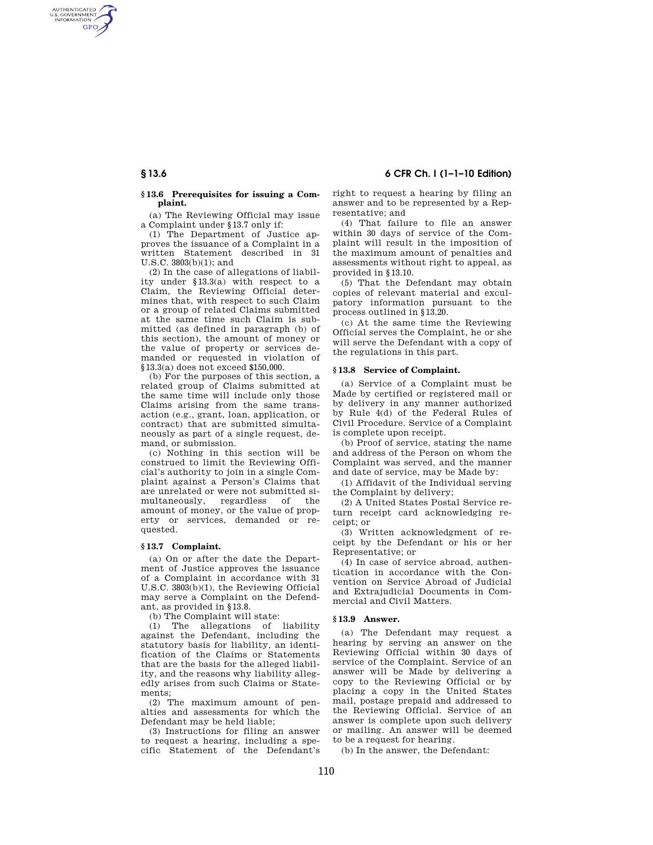# **§ 13.6 6 CFR Ch. I (1–1–10 Edition)**

### **§ 13.6 Prerequisites for issuing a Complaint.**

(a) The Reviewing Official may issue a Complaint under §13.7 only if:

(1) The Department of Justice approves the issuance of a Complaint in a written Statement described in 31 U.S.C. 3803(b)(1); and

(2) In the case of allegations of liability under §13.3(a) with respect to a Claim, the Reviewing Official determines that, with respect to such Claim or a group of related Claims submitted at the same time such Claim is submitted (as defined in paragraph (b) of this section), the amount of money or the value of property or services demanded or requested in violation of §13.3(a) does not exceed \$150,000.

(b) For the purposes of this section, a related group of Claims submitted at the same time will include only those Claims arising from the same transaction (e.g., grant, loan, application, or contract) that are submitted simultaneously as part of a single request, demand, or submission.

(c) Nothing in this section will be construed to limit the Reviewing Official's authority to join in a single Complaint against a Person's Claims that are unrelated or were not submitted simultaneously, regardless of the amount of money, or the value of property or services, demanded or requested.

## **§ 13.7 Complaint.**

(a) On or after the date the Department of Justice approves the issuance of a Complaint in accordance with 31 U.S.C. 3803(b)(1), the Reviewing Official may serve a Complaint on the Defendant, as provided in §13.8.

(b) The Complaint will state:

(1) The allegations of liability against the Defendant, including the statutory basis for liability, an identification of the Claims or Statements that are the basis for the alleged liability, and the reasons why liability allegedly arises from such Claims or Statements;

(2) The maximum amount of penalties and assessments for which the Defendant may be held liable;

(3) Instructions for filing an answer to request a hearing, including a specific Statement of the Defendant's right to request a hearing by filing an answer and to be represented by a Representative; and

(4) That failure to file an answer within 30 days of service of the Complaint will result in the imposition of the maximum amount of penalties and assessments without right to appeal, as provided in §13.10.

(5) That the Defendant may obtain copies of relevant material and exculpatory information pursuant to the process outlined in §13.20.

(c) At the same time the Reviewing Official serves the Complaint, he or she will serve the Defendant with a copy of the regulations in this part.

### **§ 13.8 Service of Complaint.**

(a) Service of a Complaint must be Made by certified or registered mail or by delivery in any manner authorized by Rule 4(d) of the Federal Rules of Civil Procedure. Service of a Complaint is complete upon receipt.

(b) Proof of service, stating the name and address of the Person on whom the Complaint was served, and the manner and date of service, may be Made by:

(1) Affidavit of the Individual serving the Complaint by delivery;

(2) A United States Postal Service return receipt card acknowledging receipt; or

(3) Written acknowledgment of receipt by the Defendant or his or her Representative; or

(4) In case of service abroad, authentication in accordance with the Convention on Service Abroad of Judicial and Extrajudicial Documents in Commercial and Civil Matters.

#### **§ 13.9 Answer.**

(a) The Defendant may request a hearing by serving an answer on the Reviewing Official within 30 days of service of the Complaint. Service of an answer will be Made by delivering a copy to the Reviewing Official or by placing a copy in the United States mail, postage prepaid and addressed to the Reviewing Official. Service of an answer is complete upon such delivery or mailing. An answer will be deemed to be a request for hearing.

(b) In the answer, the Defendant:

AUTHENTICATED<br>U.S. GOVERNMENT<br>INFORMATION **GPO**